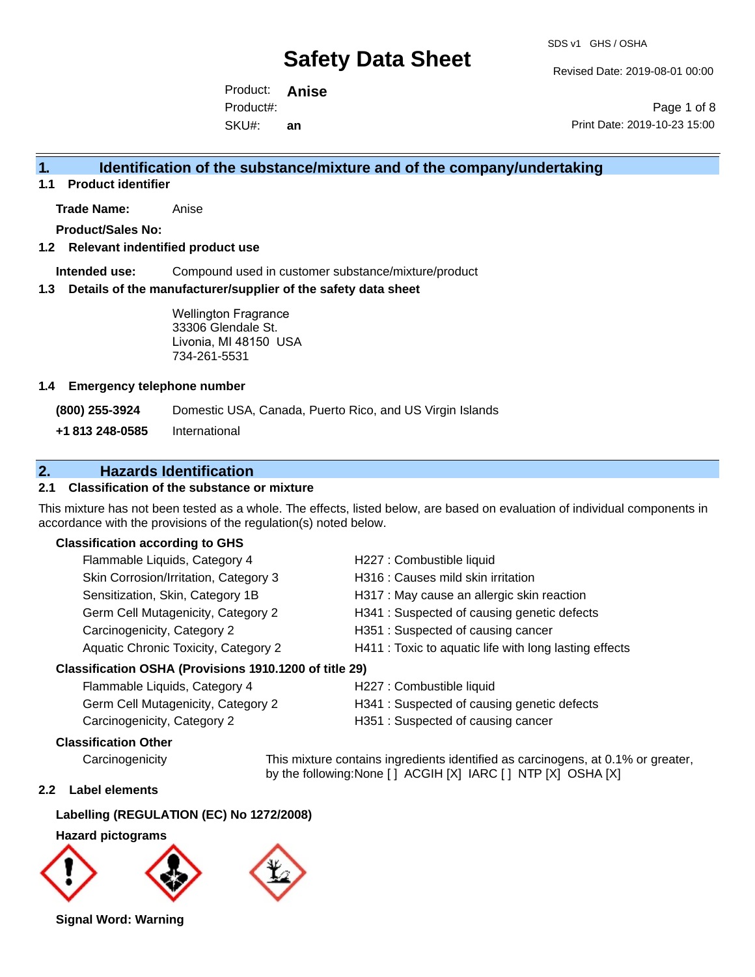SDS v1 GHS / OSHA

Revised Date: 2019-08-01 00:00

Product: **Anise** SKU#: Product#: **an**

Page 1 of 8 Print Date: 2019-10-23 15:00

### **1. Identification of the substance/mixture and of the company/undertaking**

**1.1 Product identifier**

**Trade Name:** Anise

**Product/Sales No:**

#### **1.2 Relevant indentified product use**

**Intended use:** Compound used in customer substance/mixture/product

#### **1.3 Details of the manufacturer/supplier of the safety data sheet**

Wellington Fragrance 33306 Glendale St. Livonia, MI 48150 USA 734-261-5531

#### **1.4 Emergency telephone number**

**(800) 255-3924** Domestic USA, Canada, Puerto Rico, and US Virgin Islands

**+1 813 248-0585** International

### **2. Hazards Identification**

#### **2.1 Classification of the substance or mixture**

This mixture has not been tested as a whole. The effects, listed below, are based on evaluation of individual components in accordance with the provisions of the regulation(s) noted below.

#### **Classification according to GHS**

| Flammable Liquids, Category 4                          | H227 : Combustible liquid                              |
|--------------------------------------------------------|--------------------------------------------------------|
| Skin Corrosion/Irritation, Category 3                  | H316 : Causes mild skin irritation                     |
| Sensitization, Skin, Category 1B                       | H317 : May cause an allergic skin reaction             |
| Germ Cell Mutagenicity, Category 2                     | H341 : Suspected of causing genetic defects            |
| Carcinogenicity, Category 2                            | H351: Suspected of causing cancer                      |
| Aquatic Chronic Toxicity, Category 2                   | H411 : Toxic to aquatic life with long lasting effects |
| Classification OSHA (Provisions 1910.1200 of title 29) |                                                        |
|                                                        |                                                        |

| Flammable Liquids, Category 4      | H227 : 0 |
|------------------------------------|----------|
| Germ Cell Mutagenicity, Category 2 | H341:3   |

Combustible liquid

- Suspected of causing genetic defects
- Carcinogenicity, Category 2 H351 : Suspected of causing cancer

#### **Classification Other**

Carcinogenicity This mixture contains ingredients identified as carcinogens, at 0.1% or greater, by the following:None [ ] ACGIH [X] IARC [ ] NTP [X] OSHA [X]

#### **2.2 Label elements**

#### **Labelling (REGULATION (EC) No 1272/2008)**

**Hazard pictograms**



**Signal Word: Warning**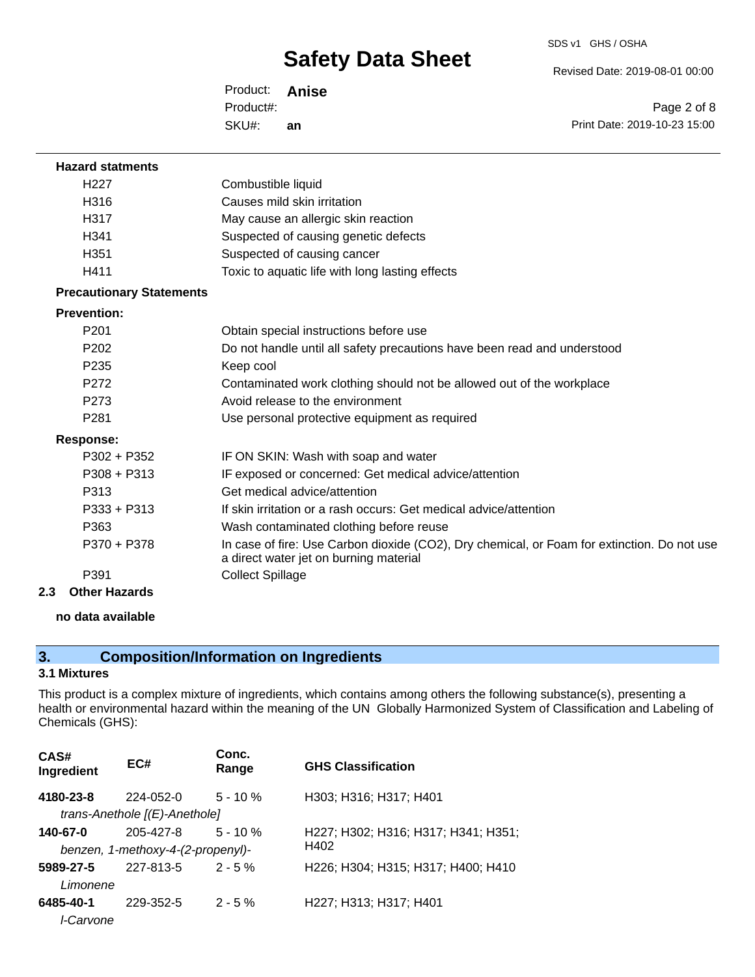Revised Date: 2019-08-01 00:00

Product: **Anise** SKU#: Product#: **an**

Page 2 of 8 Print Date: 2019-10-23 15:00

| <b>Hazard statments</b>         |                                                                                                                                       |
|---------------------------------|---------------------------------------------------------------------------------------------------------------------------------------|
| H <sub>227</sub>                | Combustible liquid                                                                                                                    |
| H316                            | Causes mild skin irritation                                                                                                           |
| H317                            | May cause an allergic skin reaction                                                                                                   |
| H341                            | Suspected of causing genetic defects                                                                                                  |
| H <sub>351</sub>                | Suspected of causing cancer                                                                                                           |
| H411                            | Toxic to aquatic life with long lasting effects                                                                                       |
| <b>Precautionary Statements</b> |                                                                                                                                       |
| <b>Prevention:</b>              |                                                                                                                                       |
| P <sub>201</sub>                | Obtain special instructions before use                                                                                                |
| P <sub>202</sub>                | Do not handle until all safety precautions have been read and understood                                                              |
| P <sub>235</sub>                | Keep cool                                                                                                                             |
| P272                            | Contaminated work clothing should not be allowed out of the workplace                                                                 |
| P273                            | Avoid release to the environment                                                                                                      |
| P281                            | Use personal protective equipment as required                                                                                         |
| <b>Response:</b>                |                                                                                                                                       |
| $P302 + P352$                   | IF ON SKIN: Wash with soap and water                                                                                                  |
| $P308 + P313$                   | IF exposed or concerned: Get medical advice/attention                                                                                 |
| P313                            | Get medical advice/attention                                                                                                          |
| $P333 + P313$                   | If skin irritation or a rash occurs: Get medical advice/attention                                                                     |
| P363                            | Wash contaminated clothing before reuse                                                                                               |
| P370 + P378                     | In case of fire: Use Carbon dioxide (CO2), Dry chemical, or Foam for extinction. Do not use<br>a direct water jet on burning material |
| P391                            | <b>Collect Spillage</b>                                                                                                               |
| Othor Horordo                   |                                                                                                                                       |

**2.3 Other Hazards**

#### **no data available**

## **3. Composition/Information on Ingredients**

### **3.1 Mixtures**

This product is a complex mixture of ingredients, which contains among others the following substance(s), presenting a health or environmental hazard within the meaning of the UN Globally Harmonized System of Classification and Labeling of Chemicals (GHS):

| CAS#<br>Ingredient | EC#                               | Conc.<br>Range | <b>GHS Classification</b>           |
|--------------------|-----------------------------------|----------------|-------------------------------------|
| 4180-23-8          | 224-052-0                         | $5 - 10 \%$    | H303; H316; H317; H401              |
|                    | trans-Anethole $[(E)$ -Anethole]  |                |                                     |
| 140-67-0           | 205-427-8                         | $5 - 10 \%$    | H227; H302; H316; H317; H341; H351; |
|                    | benzen, 1-methoxy-4-(2-propenyl)- |                | H402                                |
| 5989-27-5          | 227-813-5                         | $2 - 5%$       | H226; H304; H315; H317; H400; H410  |
| Limonene           |                                   |                |                                     |
| 6485-40-1          | 229-352-5                         | $2 - 5 \%$     | H227; H313; H317; H401              |
| l-Carvone          |                                   |                |                                     |
|                    |                                   |                |                                     |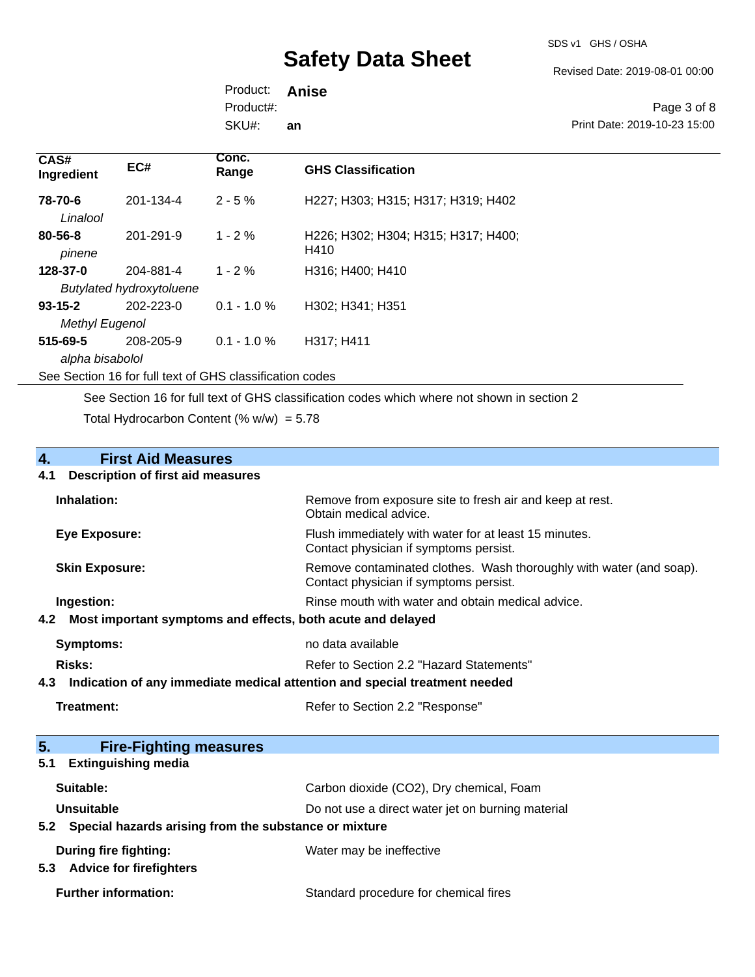SDS v1 GHS / OSHA

Revised Date: 2019-08-01 00:00

Product: **Anise** SKU#: Product#: **an**

Page 3 of 8 Print Date: 2019-10-23 15:00

| CAS#<br>Ingredient                     | EC#                                          | Conc.<br>Range | <b>GHS Classification</b>                   |
|----------------------------------------|----------------------------------------------|----------------|---------------------------------------------|
| 78-70-6<br>Linalool                    | 201-134-4                                    | $2 - 5%$       | H227; H303; H315; H317; H319; H402          |
| 80-56-8<br>pinene                      | 201-291-9                                    | $1 - 2 \%$     | H226; H302; H304; H315; H317; H400;<br>H410 |
| 128-37-0                               | 204-881-4<br><b>Butylated hydroxytoluene</b> | $1 - 2 \%$     | H316; H400; H410                            |
| $93 - 15 - 2$<br><b>Methyl Eugenol</b> | 202-223-0                                    | $0.1 - 1.0 \%$ | H302; H341; H351                            |
| 515-69-5<br>alpha bisabolol            | 208-205-9                                    | $0.1 - 1.0 \%$ | H317; H411                                  |

See Section 16 for full text of GHS classification codes

See Section 16 for full text of GHS classification codes which where not shown in section 2

Total Hydrocarbon Content (%  $w/w$ ) = 5.78

# **4.** First Aid Measures<br>**4.1** Description of first aid meas

#### **4.1 Description of first aid measures**

| Inhalation:                                                     | Remove from exposure site to fresh air and keep at rest.<br>Obtain medical advice.                            |
|-----------------------------------------------------------------|---------------------------------------------------------------------------------------------------------------|
| Eye Exposure:                                                   | Flush immediately with water for at least 15 minutes.<br>Contact physician if symptoms persist.               |
| <b>Skin Exposure:</b>                                           | Remove contaminated clothes. Wash thoroughly with water (and soap).<br>Contact physician if symptoms persist. |
| Ingestion:                                                      | Rinse mouth with water and obtain medical advice.                                                             |
| 4.2 Most important symptoms and effects, both acute and delayed |                                                                                                               |
| <b>Symptoms:</b>                                                | no data available                                                                                             |
| Risks:                                                          | Refer to Section 2.2 "Hazard Statements"                                                                      |
|                                                                 | A 2 Indication of any immodiate medical attention and coopial treatment needed                                |

- **4.3 Indication of any immediate medical attention and special treatment needed**
	-

**Treatment:** Refer to Section 2.2 "Response"

| 5.<br><b>Fire-Fighting measures</b>                       |                                                   |
|-----------------------------------------------------------|---------------------------------------------------|
| <b>Extinguishing media</b><br>5.1                         |                                                   |
| Suitable:                                                 | Carbon dioxide (CO2), Dry chemical, Foam          |
| Unsuitable                                                | Do not use a direct water jet on burning material |
| 5.2 Special hazards arising from the substance or mixture |                                                   |
| During fire fighting:                                     | Water may be ineffective                          |
| <b>Advice for firefighters</b><br>5.3                     |                                                   |
| <b>Further information:</b>                               | Standard procedure for chemical fires             |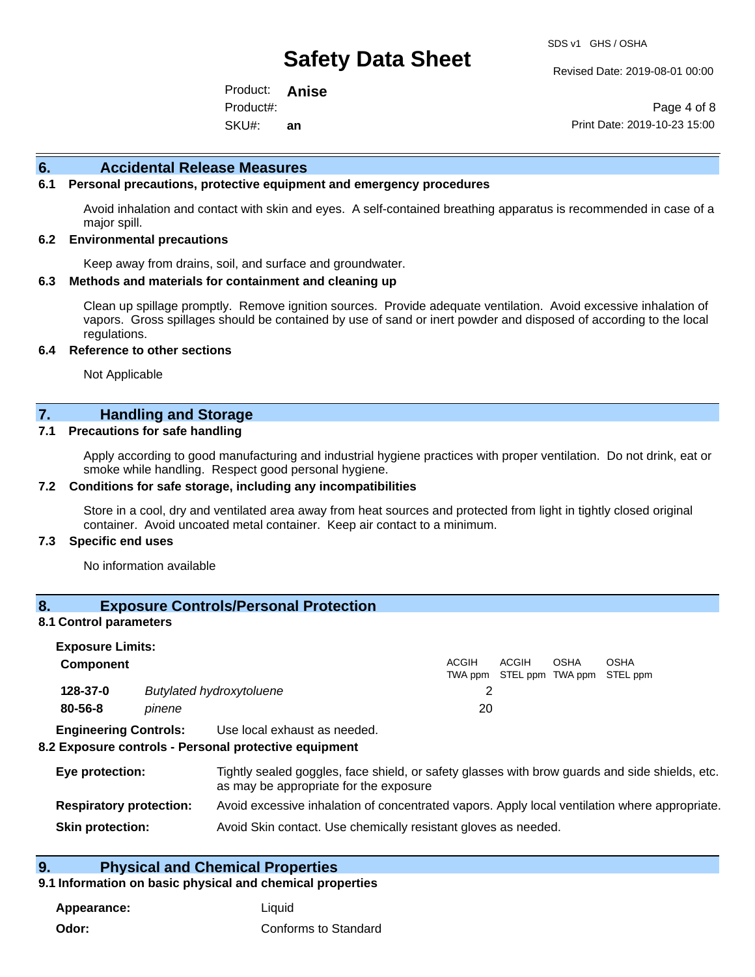Revised Date: 2019-08-01 00:00

Product: **Anise** SKU#: Product#: **an**

Page 4 of 8 Print Date: 2019-10-23 15:00

#### **6. Accidental Release Measures**

#### **6.1 Personal precautions, protective equipment and emergency procedures**

Avoid inhalation and contact with skin and eyes. A self-contained breathing apparatus is recommended in case of a major spill.

#### **6.2 Environmental precautions**

Keep away from drains, soil, and surface and groundwater.

#### **6.3 Methods and materials for containment and cleaning up**

Clean up spillage promptly. Remove ignition sources. Provide adequate ventilation. Avoid excessive inhalation of vapors. Gross spillages should be contained by use of sand or inert powder and disposed of according to the local regulations.

#### **6.4 Reference to other sections**

Not Applicable

#### **7. Handling and Storage**

#### **7.1 Precautions for safe handling**

Apply according to good manufacturing and industrial hygiene practices with proper ventilation. Do not drink, eat or smoke while handling. Respect good personal hygiene.

#### **7.2 Conditions for safe storage, including any incompatibilities**

Store in a cool, dry and ventilated area away from heat sources and protected from light in tightly closed original container. Avoid uncoated metal container. Keep air contact to a minimum.

#### **7.3 Specific end uses**

No information available

### **8. Exposure Controls/Personal Protection**

#### **8.1 Control parameters**

| <b>Exposure Limits:</b>      |        |                                 |       |                                            |      |             |
|------------------------------|--------|---------------------------------|-------|--------------------------------------------|------|-------------|
| <b>Component</b>             |        |                                 | ACGIH | ACGIH<br>TWA ppm STEL ppm TWA ppm STEL ppm | OSHA | <b>OSHA</b> |
| 128-37-0                     |        | <b>Butylated hydroxytoluene</b> |       |                                            |      |             |
| $80 - 56 - 8$                | pinene |                                 | 20    |                                            |      |             |
| <b>Engineering Controls:</b> |        | Use local exhaust as needed.    |       |                                            |      |             |

#### **8.2 Exposure controls - Personal protective equipment**

| Eye protection:                | Tightly sealed goggles, face shield, or safety glasses with brow guards and side shields, etc.<br>as may be appropriate for the exposure |
|--------------------------------|------------------------------------------------------------------------------------------------------------------------------------------|
| <b>Respiratory protection:</b> | Avoid excessive inhalation of concentrated vapors. Apply local ventilation where appropriate.                                            |
| <b>Skin protection:</b>        | Avoid Skin contact. Use chemically resistant gloves as needed.                                                                           |

#### **9. Physical and Chemical Properties**

#### **9.1 Information on basic physical and chemical properties**

**Appearance:** Liquid **Odor:** Conforms to Standard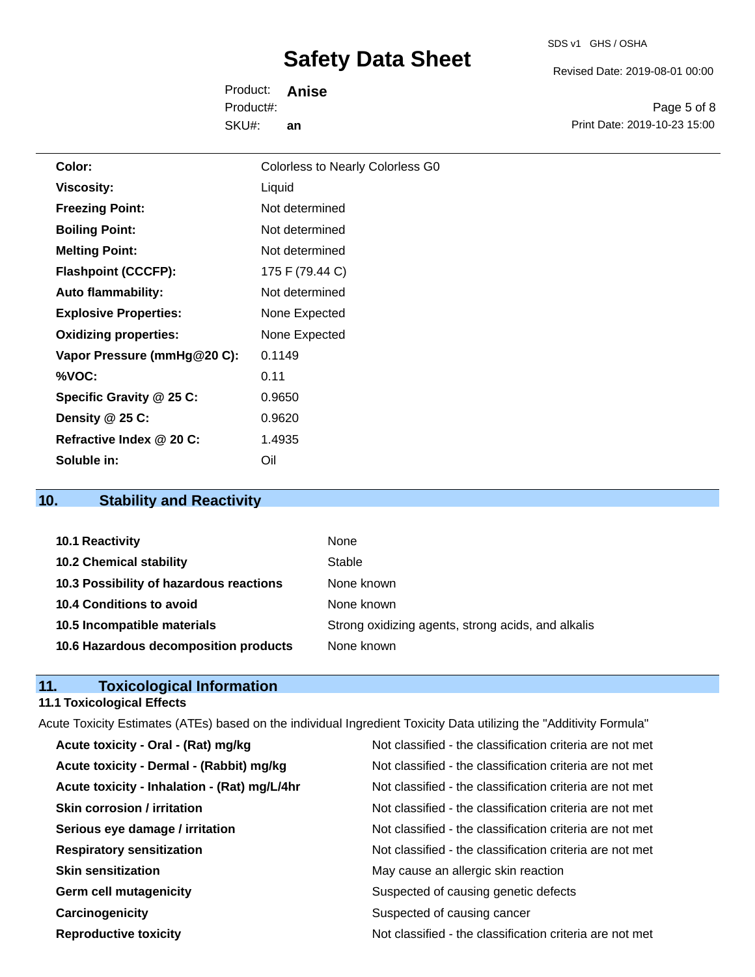SDS v1 GHS / OSHA

Revised Date: 2019-08-01 00:00

Product: **Anise** SKU#: Product#: **an**

Page 5 of 8 Print Date: 2019-10-23 15:00

| Color:                       | Colorless to Nearly Colorless G0 |
|------------------------------|----------------------------------|
| <b>Viscosity:</b>            | Liquid                           |
| <b>Freezing Point:</b>       | Not determined                   |
| <b>Boiling Point:</b>        | Not determined                   |
| <b>Melting Point:</b>        | Not determined                   |
| <b>Flashpoint (CCCFP):</b>   | 175 F (79.44 C)                  |
| <b>Auto flammability:</b>    | Not determined                   |
| <b>Explosive Properties:</b> | None Expected                    |
| <b>Oxidizing properties:</b> | None Expected                    |
| Vapor Pressure (mmHg@20 C):  | 0.1149                           |
| %VOC:                        | 0.11                             |
| Specific Gravity @ 25 C:     | 0.9650                           |
| Density @ 25 C:              | 0.9620                           |
| Refractive Index @ 20 C:     | 1.4935                           |
| Soluble in:                  | Oil                              |
|                              |                                  |

### **10. Stability and Reactivity**

| 10.1 Reactivity                         | None                                               |
|-----------------------------------------|----------------------------------------------------|
| <b>10.2 Chemical stability</b>          | Stable                                             |
| 10.3 Possibility of hazardous reactions | None known                                         |
| 10.4 Conditions to avoid                | None known                                         |
| 10.5 Incompatible materials             | Strong oxidizing agents, strong acids, and alkalis |
| 10.6 Hazardous decomposition products   | None known                                         |

#### **11. Toxicological Information**

#### **11.1 Toxicological Effects**

Acute Toxicity Estimates (ATEs) based on the individual Ingredient Toxicity Data utilizing the "Additivity Formula" **Acute toxicity - Oral - (Rat) mg/kg Note Construct Acute Constructs Acute toxicity - Oral - (Rat) mg/kg Note Classified - the classification criteria are not met** Acute toxicity - Dermal - (Rabbit) mg/kg<br>Not classified - the classification criteria are not met Acute toxicity - Inhalation - (Rat) mg/L/4hr Not classified - the classification criteria are not met **Skin corrosion / irritation** Not classified - the classification criteria are not met **Serious eye damage / irritation** Not classified - the classification criteria are not met **Respiratory sensitization** Not classified - the classification criteria are not met **Skin sensitization** May cause an allergic skin reaction Germ cell mutagenicity **Suspected of causing genetic defects** Suspected of causing genetic defects **Carcinogenicity Carcinogenicity** Suspected of causing cancer **Reproductive toxicity** Not classified - the classification criteria are not met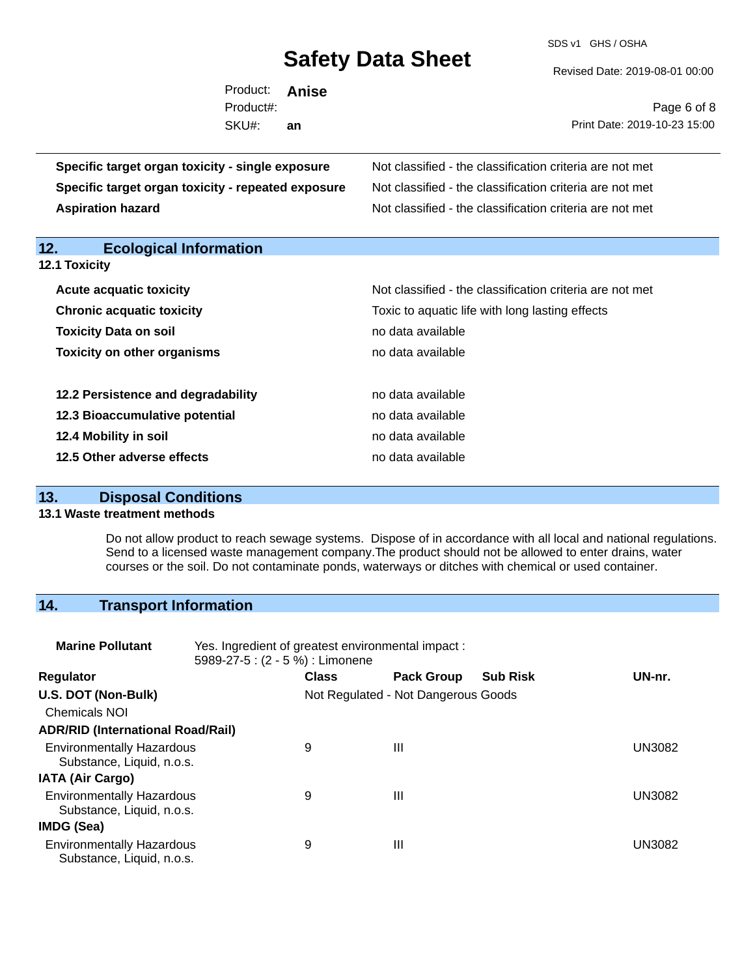SDS v1 GHS / OSHA

Revised Date: 2019-08-01 00:00

| Product: <b>Anise</b>        |    |                                                          |
|------------------------------|----|----------------------------------------------------------|
| Product#:                    |    | Page 6 of 8                                              |
| SKU#:                        | an | Print Date: 2019-10-23 15:00                             |
| า toxicity - single exposure |    | Not classified - the classification criteria are not met |

| Specific target organ toxicity - single exposure   | Not classified - the classification criteria are not met |
|----------------------------------------------------|----------------------------------------------------------|
| Specific target organ toxicity - repeated exposure | Not classified - the classification criteria are not met |
| <b>Aspiration hazard</b>                           | Not classified - the classification criteria are not met |

| 12.<br><b>Ecological Information</b> |                                                          |
|--------------------------------------|----------------------------------------------------------|
| <b>12.1 Toxicity</b>                 |                                                          |
| <b>Acute acquatic toxicity</b>       | Not classified - the classification criteria are not met |
| <b>Chronic acquatic toxicity</b>     | Toxic to aquatic life with long lasting effects          |
| <b>Toxicity Data on soil</b>         | no data available                                        |
| <b>Toxicity on other organisms</b>   | no data available                                        |
| 12.2 Persistence and degradability   | no data available                                        |
| 12.3 Bioaccumulative potential       | no data available                                        |
| 12.4 Mobility in soil                | no data available                                        |
| 12.5 Other adverse effects           | no data available                                        |

### **13. Disposal Conditions**

#### **13.1 Waste treatment methods**

Do not allow product to reach sewage systems. Dispose of in accordance with all local and national regulations. Send to a licensed waste management company.The product should not be allowed to enter drains, water courses or the soil. Do not contaminate ponds, waterways or ditches with chemical or used container.

## **14. Transport Information**

| <b>Marine Pollutant</b>                                       | Yes. Ingredient of greatest environmental impact:<br>5989-27-5: (2 - 5 %) : Limonene |                                     |                   |                 |        |
|---------------------------------------------------------------|--------------------------------------------------------------------------------------|-------------------------------------|-------------------|-----------------|--------|
| <b>Regulator</b>                                              |                                                                                      | <b>Class</b>                        | <b>Pack Group</b> | <b>Sub Risk</b> | UN-nr. |
| U.S. DOT (Non-Bulk)                                           |                                                                                      | Not Regulated - Not Dangerous Goods |                   |                 |        |
| <b>Chemicals NOI</b>                                          |                                                                                      |                                     |                   |                 |        |
| <b>ADR/RID (International Road/Rail)</b>                      |                                                                                      |                                     |                   |                 |        |
| <b>Environmentally Hazardous</b><br>Substance, Liquid, n.o.s. |                                                                                      | 9                                   | Ш                 |                 | UN3082 |
| <b>IATA (Air Cargo)</b>                                       |                                                                                      |                                     |                   |                 |        |
| <b>Environmentally Hazardous</b><br>Substance, Liquid, n.o.s. |                                                                                      | 9                                   | Ш                 |                 | UN3082 |
| <b>IMDG (Sea)</b>                                             |                                                                                      |                                     |                   |                 |        |
| <b>Environmentally Hazardous</b><br>Substance, Liquid, n.o.s. |                                                                                      | 9                                   | Ш                 |                 | UN3082 |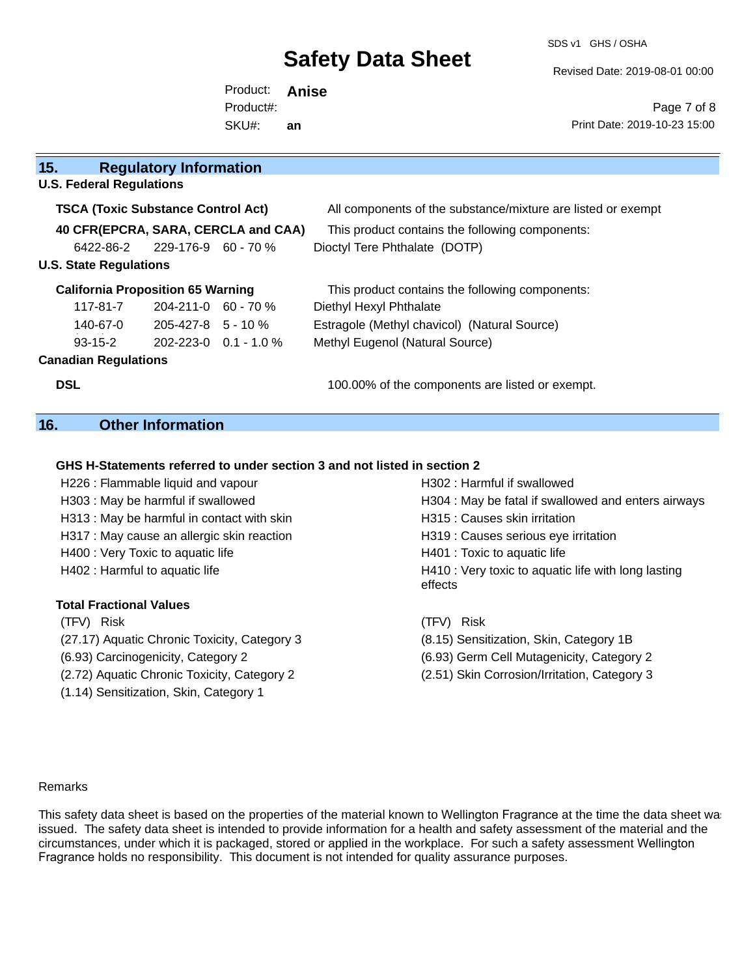SDS v1 GHS / OSHA

Revised Date: 2019-08-01 00:00

Product: **Anise** SKU#: Product#: **an**

Page 7 of 8 Print Date: 2019-10-23 15:00

| 15.<br><b>Regulatory Information</b> |          |                                           |                                     |                                                              |
|--------------------------------------|----------|-------------------------------------------|-------------------------------------|--------------------------------------------------------------|
| <b>U.S. Federal Regulations</b>      |          |                                           |                                     |                                                              |
|                                      |          | <b>TSCA (Toxic Substance Control Act)</b> |                                     | All components of the substance/mixture are listed or exempt |
|                                      |          |                                           | 40 CFR(EPCRA, SARA, CERCLA and CAA) | This product contains the following components:              |
|                                      |          | 6422-86-2 229-176-9 60 - 70 %             |                                     | Dioctyl Tere Phthalate (DOTP)                                |
| <b>U.S. State Regulations</b>        |          |                                           |                                     |                                                              |
|                                      |          | <b>California Proposition 65 Warning</b>  |                                     | This product contains the following components:              |
|                                      |          | $117-81-7$ 204-211-0 60 - 70 %            |                                     | Diethyl Hexyl Phthalate                                      |
|                                      | 140-67-0 | 205-427-8 5 - 10 %                        |                                     | Estragole (Methyl chavicol) (Natural Source)                 |
|                                      | 93-15-2  |                                           | $202 - 223 - 0$ $0.1 - 1.0$ %       | Methyl Eugenol (Natural Source)                              |
| <b>Canadian Regulations</b>          |          |                                           |                                     |                                                              |
| <b>DSL</b>                           |          |                                           |                                     | 100.00% of the components are listed or exempt.              |

### **16. Other Information**

#### **GHS H-Statements referred to under section 3 and not listed in section 2**

| H226 : Flammable liquid and vapour           | H302 : Harmful if swallowed                                    |
|----------------------------------------------|----------------------------------------------------------------|
| H303 : May be harmful if swallowed           | H304 : May be fatal if swallowed and enters airways            |
| H313: May be harmful in contact with skin    | H315 : Causes skin irritation                                  |
| H317 : May cause an allergic skin reaction   | H319 : Causes serious eye irritation                           |
| H400 : Very Toxic to aquatic life            | H401 : Toxic to aquatic life                                   |
| H402 : Harmful to aquatic life               | H410 : Very toxic to aquatic life with long lasting<br>effects |
| <b>Total Fractional Values</b>               |                                                                |
| (TFV) Risk                                   | <b>Risk</b><br>(TFV)                                           |
| (27.17) Aquatic Chronic Toxicity, Category 3 | (8.15) Sensitization, Skin, Category 1B                        |
| (6.93) Carcinogenicity, Category 2           | (6.93) Germ Cell Mutagenicity, Category 2                      |
| (2.72) Aquatic Chronic Toxicity, Category 2  | (2.51) Skin Corrosion/Irritation, Category 3                   |
| (1.14) Sensitization, Skin, Category 1       |                                                                |

#### Remarks

This safety data sheet is based on the properties of the material known to Wellington Fragrance at the time the data sheet was issued. The safety data sheet is intended to provide information for a health and safety assessment of the material and the circumstances, under which it is packaged, stored or applied in the workplace. For such a safety assessment Wellington Fragrance holds no responsibility. This document is not intended for quality assurance purposes.